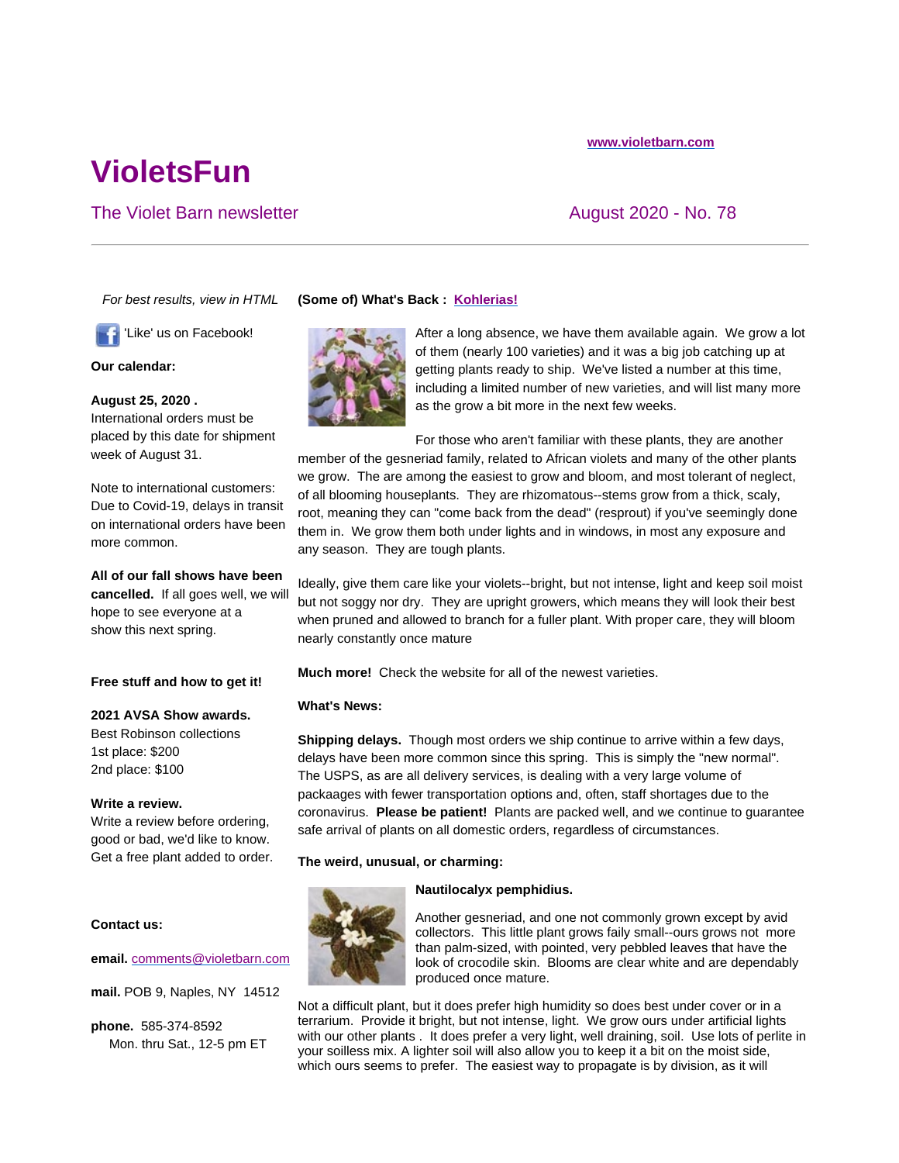# **VioletsFun**

# The Violet Barn newsletter August 2020 - No. 78

*For best results, view in HTML*

'Like' us on Facebook!

**Our calendar:**

**August 25, 2020 .**  International orders must be

placed by this date for shipment week of August 31.

Note to international customers: Due to Covid-19, delays in transit on international orders have been more common.

**All of our fall shows have been cancelled.** If all goes well, we will hope to see everyone at a show this next spring.

# **Free stuff and how to get it!**

#### **2021 AVSA Show awards.**

Best Robinson collections 1st place: \$200 2nd place: \$100

#### **Write a review.**

Write a review before ordering, good or bad, we'd like to know. Get a free plant added to order.

## **Contact us:**

**email.** comments@violetbarn.com

**mail.** POB 9, Naples, NY 14512

**phone.** 585-374-8592 Mon. thru Sat., 12-5 pm ET

# **(Some of) What's Back : Kohlerias!**



After a long absence, we have them available again. We grow a lot of them (nearly 100 varieties) and it was a big job catching up at getting plants ready to ship. We've listed a number at this time, including a limited number of new varieties, and will list many more as the grow a bit more in the next few weeks.

For those who aren't familiar with these plants, they are another member of the gesneriad family, related to African violets and many of the other plants we grow. The are among the easiest to grow and bloom, and most tolerant of neglect, of all blooming houseplants. They are rhizomatous--stems grow from a thick, scaly, root, meaning they can "come back from the dead" (resprout) if you've seemingly done them in. We grow them both under lights and in windows, in most any exposure and any season. They are tough plants.

Ideally, give them care like your violets--bright, but not intense, light and keep soil moist but not soggy nor dry. They are upright growers, which means they will look their best when pruned and allowed to branch for a fuller plant. With proper care, they will bloom nearly constantly once mature

**Much more!** Check the website for all of the newest varieties.

#### **What's News:**

**Shipping delays.** Though most orders we ship continue to arrive within a few days, delays have been more common since this spring. This is simply the "new normal". The USPS, as are all delivery services, is dealing with a very large volume of packaages with fewer transportation options and, often, staff shortages due to the coronavirus. **Please be patient!** Plants are packed well, and we continue to guarantee safe arrival of plants on all domestic orders, regardless of circumstances.

**The weird, unusual, or charming:**



#### **Nautilocalyx pemphidius.**

Another gesneriad, and one not commonly grown except by avid collectors. This little plant grows faily small--ours grows not more than palm-sized, with pointed, very pebbled leaves that have the look of crocodile skin. Blooms are clear white and are dependably produced once mature.

Not a difficult plant, but it does prefer high humidity so does best under cover or in a terrarium. Provide it bright, but not intense, light. We grow ours under artificial lights with our other plants . It does prefer a very light, well draining, soil. Use lots of perlite in your soilless mix. A lighter soil will also allow you to keep it a bit on the moist side, which ours seems to prefer. The easiest way to propagate is by division, as it will

# **www.violetbarn.com**